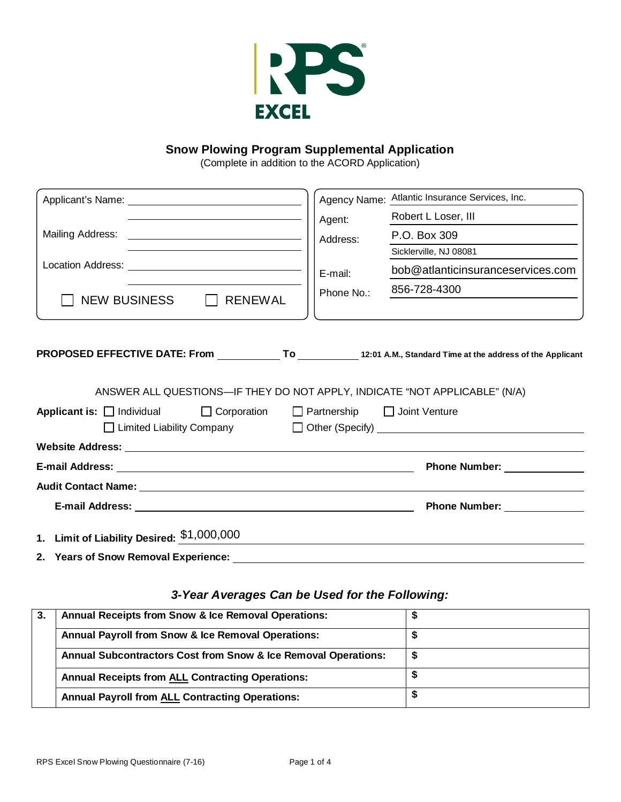

### **Snow Plowing Program Supplemental Application**

(Complete in addition to the ACORD Application)

|                                                                                                                      | Agency Name: Atlantic Insurance Services, Inc.                             |
|----------------------------------------------------------------------------------------------------------------------|----------------------------------------------------------------------------|
|                                                                                                                      | Robert L Loser, III<br>Agent:                                              |
|                                                                                                                      | P.O. Box 309<br>Address:                                                   |
|                                                                                                                      | Sicklerville, NJ 08081                                                     |
|                                                                                                                      | bob@atlanticinsuranceservices.com<br>E-mail:                               |
| NEW BUSINESS   RENEWAL                                                                                               | 856-728-4300<br>Phone No.:                                                 |
|                                                                                                                      | ANSWER ALL QUESTIONS—IF THEY DO NOT APPLY, INDICATE "NOT APPLICABLE" (N/A) |
| PROPOSED EFFECTIVE DATE: From ______________To ____________12:01 A.M., Standard Time at the address of the Applicant |                                                                            |
| Applicant is: Individual I Corporation I Partnership I Joint Venture                                                 |                                                                            |
|                                                                                                                      |                                                                            |
|                                                                                                                      |                                                                            |
|                                                                                                                      |                                                                            |
| Audit Contact Name: <u>Quality Contact Name</u>                                                                      |                                                                            |
|                                                                                                                      |                                                                            |
| 1. Limit of Liability Desired: \$1,000,000                                                                           |                                                                            |
| 2. Years of Snow Removal Experience:                                                                                 |                                                                            |

# *3-Year Averages Can be Used for the Following:*

| -3. | <b>Annual Receipts from Snow &amp; Ice Removal Operations:</b> |  |
|-----|----------------------------------------------------------------|--|
|     | <b>Annual Payroll from Snow &amp; Ice Removal Operations:</b>  |  |
|     | Annual Subcontractors Cost from Snow & Ice Removal Operations: |  |
|     | <b>Annual Receipts from ALL Contracting Operations:</b>        |  |
|     | <b>Annual Payroll from ALL Contracting Operations:</b>         |  |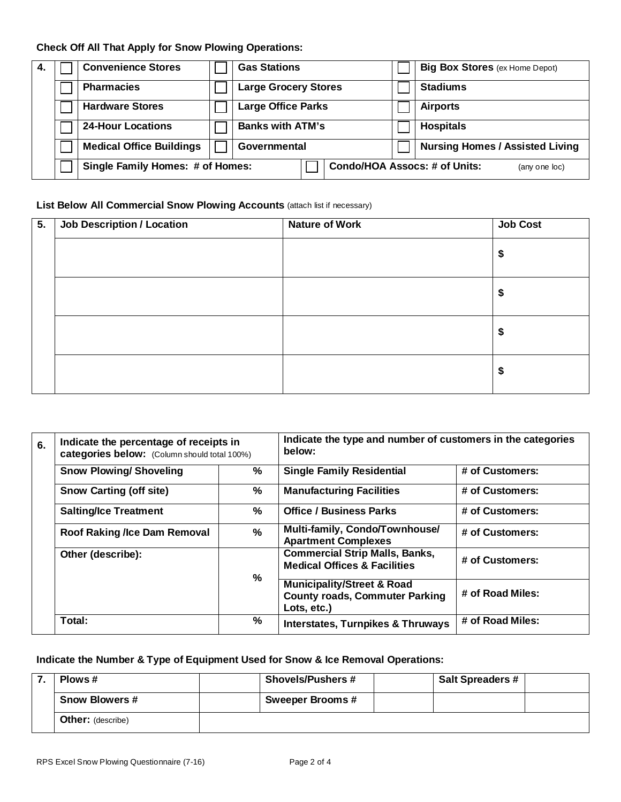## **Check Off All That Apply for Snow Plowing Operations:**

| 4. | <b>Convenience Stores</b>        | <b>Gas Stations</b>         | <b>Big Box Stores</b> (ex Home Depot)                 |
|----|----------------------------------|-----------------------------|-------------------------------------------------------|
|    | <b>Pharmacies</b>                | <b>Large Grocery Stores</b> | <b>Stadiums</b>                                       |
|    | <b>Hardware Stores</b>           | <b>Large Office Parks</b>   | <b>Airports</b>                                       |
|    | <b>24-Hour Locations</b>         | <b>Banks with ATM's</b>     | <b>Hospitals</b>                                      |
|    | <b>Medical Office Buildings</b>  | Governmental                | <b>Nursing Homes / Assisted Living</b>                |
|    | Single Family Homes: # of Homes: |                             | <b>Condo/HOA Assocs: # of Units:</b><br>(any one loc) |

### **List Below All Commercial Snow Plowing Accounts (attach list if necessary)**

| 5. | <b>Job Description / Location</b> | <b>Nature of Work</b> | <b>Job Cost</b> |
|----|-----------------------------------|-----------------------|-----------------|
|    |                                   |                       | \$              |
|    |                                   |                       | \$              |
|    |                                   |                       | \$              |
|    |                                   |                       | \$              |

| 6. | Indicate the percentage of receipts in<br>categories below: (Column should total 100%) |               | Indicate the type and number of customers in the categories<br>below:                         |                  |  |
|----|----------------------------------------------------------------------------------------|---------------|-----------------------------------------------------------------------------------------------|------------------|--|
|    | <b>Snow Plowing/ Shoveling</b>                                                         | %             | <b>Single Family Residential</b>                                                              | # of Customers:  |  |
|    | <b>Snow Carting (off site)</b>                                                         | %             | <b>Manufacturing Facilities</b>                                                               | # of Customers:  |  |
|    | <b>Salting/Ice Treatment</b>                                                           | %             | <b>Office / Business Parks</b>                                                                | # of Customers:  |  |
|    | <b>Roof Raking /Ice Dam Removal</b>                                                    | $\frac{0}{0}$ | Multi-family, Condo/Townhouse/<br><b>Apartment Complexes</b>                                  | # of Customers:  |  |
|    | Other (describe):                                                                      |               | <b>Commercial Strip Malls, Banks,</b><br><b>Medical Offices &amp; Facilities</b>              | # of Customers:  |  |
|    |                                                                                        | %             | <b>Municipality/Street &amp; Road</b><br><b>County roads, Commuter Parking</b><br>Lots, etc.) | # of Road Miles: |  |
|    | Total:                                                                                 | %             | <b>Interstates, Turnpikes &amp; Thruways</b>                                                  | # of Road Miles: |  |

# **Indicate the Number & Type of Equipment Used for Snow & Ice Removal Operations:**

| Plows #                  | <b>Shovels/Pushers #</b> | <b>Salt Spreaders #</b> |  |
|--------------------------|--------------------------|-------------------------|--|
| <b>Snow Blowers #</b>    | <b>Sweeper Brooms #</b>  |                         |  |
| <b>Other:</b> (describe) |                          |                         |  |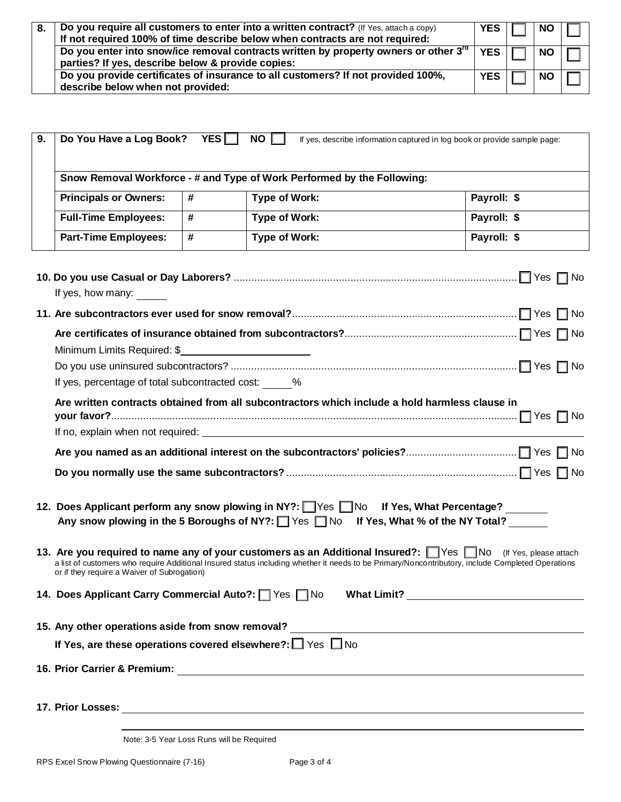| 8. | Do you require all customers to enter into a written contract? (If Yes, attach a copy)<br>If not required 100% of time describe below when contracts are not required: | YES IT     | <b>NO</b> |  |
|----|------------------------------------------------------------------------------------------------------------------------------------------------------------------------|------------|-----------|--|
|    | Do you enter into snow/ice removal contracts written by property owners or other $3rd$<br>parties? If yes, describe below & provide copies:                            | <b>YES</b> | NO I      |  |
|    | Do you provide certificates of insurance to all customers? If not provided 100%,<br>describe below when not provided:                                                  | YES        | <b>NO</b> |  |

| 9. | Do You Have a Log Book? YES<br>$NO$ $\Box$<br>If yes, describe information captured in log book or provide sample page:                                                                                                                                                                                        |   |               |  |             |  |
|----|----------------------------------------------------------------------------------------------------------------------------------------------------------------------------------------------------------------------------------------------------------------------------------------------------------------|---|---------------|--|-------------|--|
|    | Snow Removal Workforce - # and Type of Work Performed by the Following:                                                                                                                                                                                                                                        |   |               |  |             |  |
|    | <b>Principals or Owners:</b>                                                                                                                                                                                                                                                                                   | # | Type of Work: |  | Payroll: \$ |  |
|    | <b>Full-Time Employees:</b>                                                                                                                                                                                                                                                                                    | # | Type of Work: |  | Payroll: \$ |  |
|    | <b>Part-Time Employees:</b>                                                                                                                                                                                                                                                                                    | # | Type of Work: |  | Payroll: \$ |  |
|    | If yes, how many: _____                                                                                                                                                                                                                                                                                        |   |               |  |             |  |
|    |                                                                                                                                                                                                                                                                                                                |   |               |  |             |  |
|    |                                                                                                                                                                                                                                                                                                                |   |               |  |             |  |
|    |                                                                                                                                                                                                                                                                                                                |   |               |  |             |  |
|    |                                                                                                                                                                                                                                                                                                                |   |               |  |             |  |
|    | If yes, percentage of total subcontracted cost: %                                                                                                                                                                                                                                                              |   |               |  |             |  |
|    | Are written contracts obtained from all subcontractors which include a hold harmless clause in                                                                                                                                                                                                                 |   |               |  |             |  |
|    |                                                                                                                                                                                                                                                                                                                |   |               |  |             |  |
|    |                                                                                                                                                                                                                                                                                                                |   |               |  |             |  |
|    |                                                                                                                                                                                                                                                                                                                |   |               |  |             |  |
|    | 12. Does Applicant perform any snow plowing in NY?: Wes No If Yes, What Percentage?<br>Any snow plowing in the 5 Boroughs of NY?: $\Box$ Yes $\Box$ No If Yes, What % of the NY Total?                                                                                                                         |   |               |  |             |  |
|    | 13. Are you required to name any of your customers as an Additional Insured?: Ves No (If Yes, please attach<br>a list of customers who require Additional Insured status including whether it needs to be Primary/Noncontributory, include Completed Operations<br>or if they require a Waiver of Subrogation) |   |               |  |             |  |
|    | 14. Does Applicant Carry Commercial Auto?: Ves No                                                                                                                                                                                                                                                              |   |               |  |             |  |
|    | 15. Any other operations aside from snow removal?                                                                                                                                                                                                                                                              |   |               |  |             |  |
|    | If Yes, are these operations covered elsewhere?: $\Box$ Yes $\Box$ No                                                                                                                                                                                                                                          |   |               |  |             |  |
|    |                                                                                                                                                                                                                                                                                                                |   |               |  |             |  |
|    |                                                                                                                                                                                                                                                                                                                |   |               |  |             |  |

Note: 3-5 Year Loss Runs will be Required